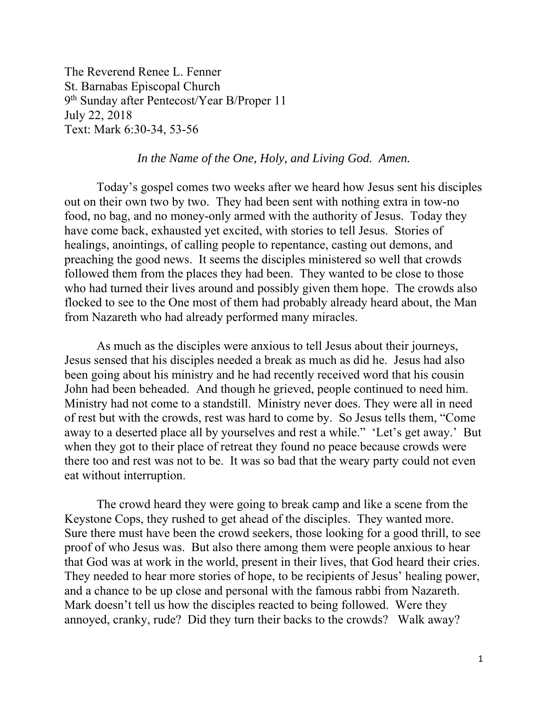The Reverend Renee L. Fenner St. Barnabas Episcopal Church 9th Sunday after Pentecost/Year B/Proper 11 July 22, 2018 Text: Mark 6:30-34, 53-56

## *In the Name of the One, Holy, and Living God. Amen.*

 Today's gospel comes two weeks after we heard how Jesus sent his disciples out on their own two by two. They had been sent with nothing extra in tow-no food, no bag, and no money-only armed with the authority of Jesus. Today they have come back, exhausted yet excited, with stories to tell Jesus. Stories of healings, anointings, of calling people to repentance, casting out demons, and preaching the good news. It seems the disciples ministered so well that crowds followed them from the places they had been. They wanted to be close to those who had turned their lives around and possibly given them hope. The crowds also flocked to see to the One most of them had probably already heard about, the Man from Nazareth who had already performed many miracles.

 As much as the disciples were anxious to tell Jesus about their journeys, Jesus sensed that his disciples needed a break as much as did he. Jesus had also been going about his ministry and he had recently received word that his cousin John had been beheaded. And though he grieved, people continued to need him. Ministry had not come to a standstill. Ministry never does. They were all in need of rest but with the crowds, rest was hard to come by. So Jesus tells them, "Come away to a deserted place all by yourselves and rest a while." 'Let's get away.' But when they got to their place of retreat they found no peace because crowds were there too and rest was not to be. It was so bad that the weary party could not even eat without interruption.

The crowd heard they were going to break camp and like a scene from the Keystone Cops, they rushed to get ahead of the disciples. They wanted more. Sure there must have been the crowd seekers, those looking for a good thrill, to see proof of who Jesus was. But also there among them were people anxious to hear that God was at work in the world, present in their lives, that God heard their cries. They needed to hear more stories of hope, to be recipients of Jesus' healing power, and a chance to be up close and personal with the famous rabbi from Nazareth. Mark doesn't tell us how the disciples reacted to being followed. Were they annoyed, cranky, rude? Did they turn their backs to the crowds? Walk away?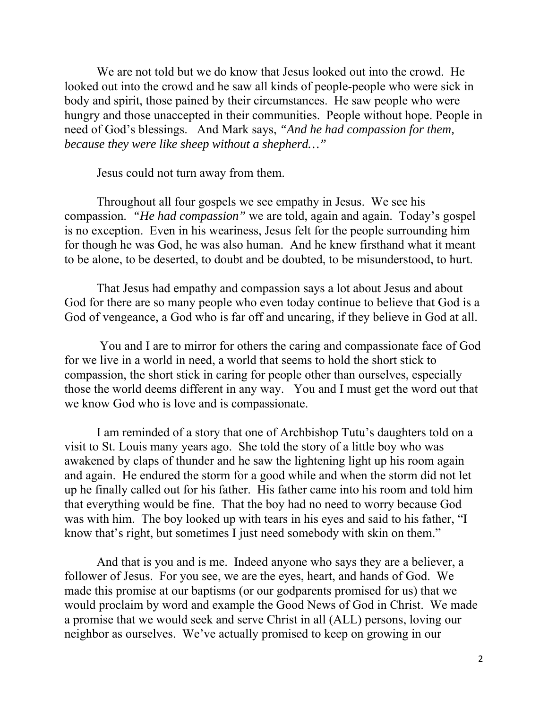We are not told but we do know that Jesus looked out into the crowd. He looked out into the crowd and he saw all kinds of people-people who were sick in body and spirit, those pained by their circumstances. He saw people who were hungry and those unaccepted in their communities. People without hope. People in need of God's blessings. And Mark says, *"And he had compassion for them, because they were like sheep without a shepherd…"* 

Jesus could not turn away from them.

Throughout all four gospels we see empathy in Jesus. We see his compassion. *"He had compassion"* we are told, again and again. Today's gospel is no exception. Even in his weariness, Jesus felt for the people surrounding him for though he was God, he was also human. And he knew firsthand what it meant to be alone, to be deserted, to doubt and be doubted, to be misunderstood, to hurt.

That Jesus had empathy and compassion says a lot about Jesus and about God for there are so many people who even today continue to believe that God is a God of vengeance, a God who is far off and uncaring, if they believe in God at all.

 You and I are to mirror for others the caring and compassionate face of God for we live in a world in need, a world that seems to hold the short stick to compassion, the short stick in caring for people other than ourselves, especially those the world deems different in any way. You and I must get the word out that we know God who is love and is compassionate.

I am reminded of a story that one of Archbishop Tutu's daughters told on a visit to St. Louis many years ago. She told the story of a little boy who was awakened by claps of thunder and he saw the lightening light up his room again and again. He endured the storm for a good while and when the storm did not let up he finally called out for his father. His father came into his room and told him that everything would be fine. That the boy had no need to worry because God was with him. The boy looked up with tears in his eyes and said to his father, "I know that's right, but sometimes I just need somebody with skin on them."

And that is you and is me. Indeed anyone who says they are a believer, a follower of Jesus. For you see, we are the eyes, heart, and hands of God. We made this promise at our baptisms (or our godparents promised for us) that we would proclaim by word and example the Good News of God in Christ. We made a promise that we would seek and serve Christ in all (ALL) persons, loving our neighbor as ourselves. We've actually promised to keep on growing in our